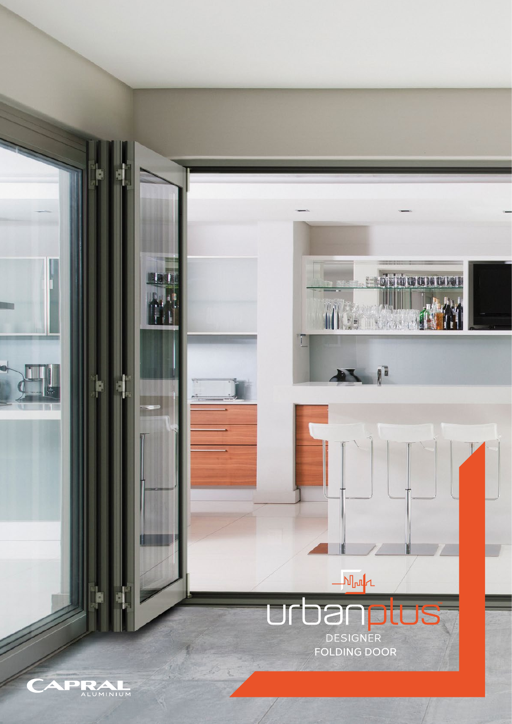